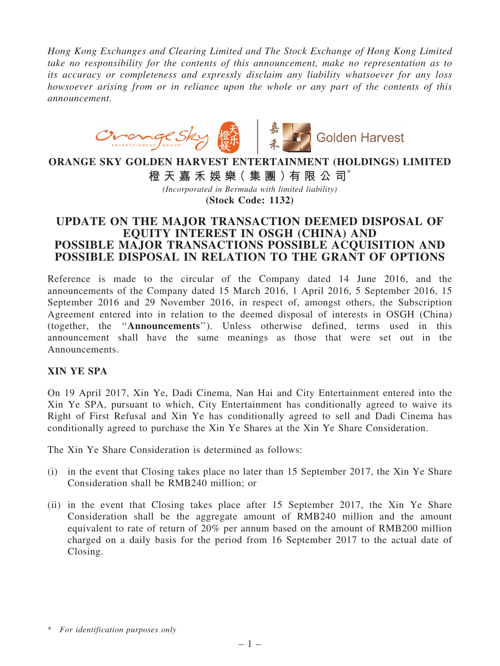*Hong Kong Exchanges and Clearing Limited and The Stock Exchange of Hong Kong Limited take no responsibility for the contents of this announcement, make no representation as to its accuracy or completeness and expressly disclaim any liability whatsoever for any loss howsoever arising from or in reliance upon the whole or any part of the contents of this announcement.*



# ORANGE SKY GOLDEN HARVEST ENTERTAINMENT (HOLDINGS) LIMITED

橙 天 嘉 禾 娛 樂( 集 團 )有 限 公 司\*

*(Incorporated in Bermuda with limited liability)* (Stock Code: 1132)

## UPDATE ON THE MAJOR TRANSACTION DEEMED DISPOSAL OF EQUITY INTEREST IN OSGH (CHINA) AND POSSIBLE MAJOR TRANSACTIONS POSSIBLE ACQUISITION AND POSSIBLE DISPOSAL IN RELATION TO THE GRANT OF OPTIONS

Reference is made to the circular of the Company dated 14 June 2016, and the announcements of the Company dated 15 March 2016, 1 April 2016, 5 September 2016, 15 September 2016 and 29 November 2016, in respect of, amongst others, the Subscription Agreement entered into in relation to the deemed disposal of interests in OSGH (China) (together, the ''Announcements''). Unless otherwise defined, terms used in this announcement shall have the same meanings as those that were set out in the Announcements.

## XIN YE SPA

On 19 April 2017, Xin Ye, Dadi Cinema, Nan Hai and City Entertainment entered into the Xin Ye SPA, pursuant to which, City Entertainment has conditionally agreed to waive its Right of First Refusal and Xin Ye has conditionally agreed to sell and Dadi Cinema has conditionally agreed to purchase the Xin Ye Shares at the Xin Ye Share Consideration.

The Xin Ye Share Consideration is determined as follows:

- (i) in the event that Closing takes place no later than 15 September 2017, the Xin Ye Share Consideration shall be RMB240 million; or
- (ii) in the event that Closing takes place after 15 September 2017, the Xin Ye Share Consideration shall be the aggregate amount of RMB240 million and the amount equivalent to rate of return of 20% per annum based on the amount of RMB200 million charged on a daily basis for the period from 16 September 2017 to the actual date of Closing.

<sup>\*</sup> *For identification purposes only*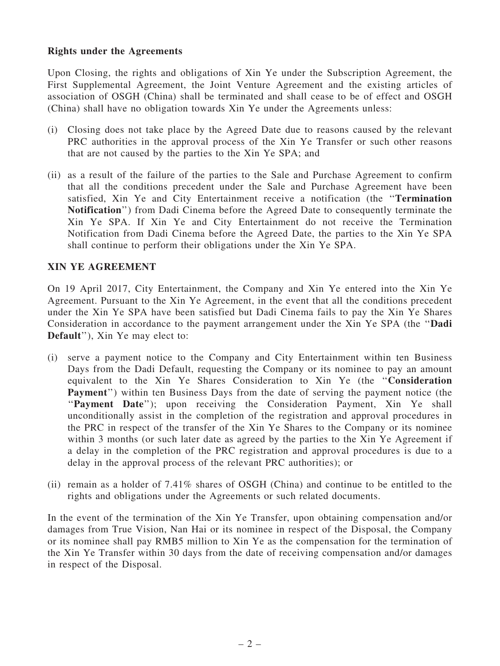#### Rights under the Agreements

Upon Closing, the rights and obligations of Xin Ye under the Subscription Agreement, the First Supplemental Agreement, the Joint Venture Agreement and the existing articles of association of OSGH (China) shall be terminated and shall cease to be of effect and OSGH (China) shall have no obligation towards Xin Ye under the Agreements unless:

- (i) Closing does not take place by the Agreed Date due to reasons caused by the relevant PRC authorities in the approval process of the Xin Ye Transfer or such other reasons that are not caused by the parties to the Xin Ye SPA; and
- (ii) as a result of the failure of the parties to the Sale and Purchase Agreement to confirm that all the conditions precedent under the Sale and Purchase Agreement have been satisfied, Xin Ye and City Entertainment receive a notification (the ''Termination Notification'') from Dadi Cinema before the Agreed Date to consequently terminate the Xin Ye SPA. If Xin Ye and City Entertainment do not receive the Termination Notification from Dadi Cinema before the Agreed Date, the parties to the Xin Ye SPA shall continue to perform their obligations under the Xin Ye SPA.

#### XIN YE AGREEMENT

On 19 April 2017, City Entertainment, the Company and Xin Ye entered into the Xin Ye Agreement. Pursuant to the Xin Ye Agreement, in the event that all the conditions precedent under the Xin Ye SPA have been satisfied but Dadi Cinema fails to pay the Xin Ye Shares Consideration in accordance to the payment arrangement under the Xin Ye SPA (the ''Dadi Default''), Xin Ye may elect to:

- (i) serve a payment notice to the Company and City Entertainment within ten Business Days from the Dadi Default, requesting the Company or its nominee to pay an amount equivalent to the Xin Ye Shares Consideration to Xin Ye (the ''Consideration Payment'') within ten Business Days from the date of serving the payment notice (the "Payment Date"); upon receiving the Consideration Payment, Xin Ye shall unconditionally assist in the completion of the registration and approval procedures in the PRC in respect of the transfer of the Xin Ye Shares to the Company or its nominee within 3 months (or such later date as agreed by the parties to the Xin Ye Agreement if a delay in the completion of the PRC registration and approval procedures is due to a delay in the approval process of the relevant PRC authorities); or
- (ii) remain as a holder of 7.41% shares of OSGH (China) and continue to be entitled to the rights and obligations under the Agreements or such related documents.

In the event of the termination of the Xin Ye Transfer, upon obtaining compensation and/or damages from True Vision, Nan Hai or its nominee in respect of the Disposal, the Company or its nominee shall pay RMB5 million to Xin Ye as the compensation for the termination of the Xin Ye Transfer within 30 days from the date of receiving compensation and/or damages in respect of the Disposal.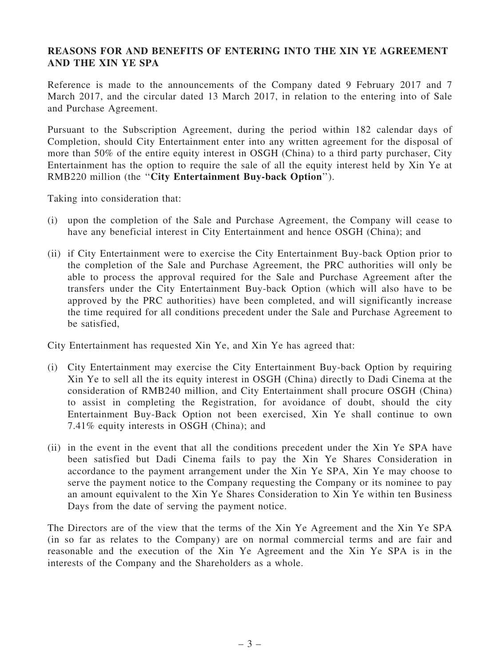## REASONS FOR AND BENEFITS OF ENTERING INTO THE XIN YE AGREEMENT AND THE XIN YE SPA

Reference is made to the announcements of the Company dated 9 February 2017 and 7 March 2017, and the circular dated 13 March 2017, in relation to the entering into of Sale and Purchase Agreement.

Pursuant to the Subscription Agreement, during the period within 182 calendar days of Completion, should City Entertainment enter into any written agreement for the disposal of more than 50% of the entire equity interest in OSGH (China) to a third party purchaser, City Entertainment has the option to require the sale of all the equity interest held by Xin Ye at RMB220 million (the "City Entertainment Buy-back Option").

Taking into consideration that:

- (i) upon the completion of the Sale and Purchase Agreement, the Company will cease to have any beneficial interest in City Entertainment and hence OSGH (China); and
- (ii) if City Entertainment were to exercise the City Entertainment Buy-back Option prior to the completion of the Sale and Purchase Agreement, the PRC authorities will only be able to process the approval required for the Sale and Purchase Agreement after the transfers under the City Entertainment Buy-back Option (which will also have to be approved by the PRC authorities) have been completed, and will significantly increase the time required for all conditions precedent under the Sale and Purchase Agreement to be satisfied,

City Entertainment has requested Xin Ye, and Xin Ye has agreed that:

- (i) City Entertainment may exercise the City Entertainment Buy-back Option by requiring Xin Ye to sell all the its equity interest in OSGH (China) directly to Dadi Cinema at the consideration of RMB240 million, and City Entertainment shall procure OSGH (China) to assist in completing the Registration, for avoidance of doubt, should the city Entertainment Buy-Back Option not been exercised, Xin Ye shall continue to own 7.41% equity interests in OSGH (China); and
- (ii) in the event in the event that all the conditions precedent under the Xin Ye SPA have been satisfied but Dadi Cinema fails to pay the Xin Ye Shares Consideration in accordance to the payment arrangement under the Xin Ye SPA, Xin Ye may choose to serve the payment notice to the Company requesting the Company or its nominee to pay an amount equivalent to the Xin Ye Shares Consideration to Xin Ye within ten Business Days from the date of serving the payment notice.

The Directors are of the view that the terms of the Xin Ye Agreement and the Xin Ye SPA (in so far as relates to the Company) are on normal commercial terms and are fair and reasonable and the execution of the Xin Ye Agreement and the Xin Ye SPA is in the interests of the Company and the Shareholders as a whole.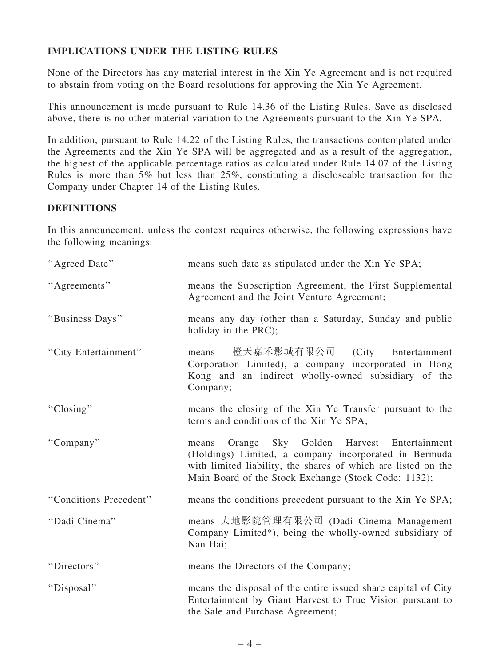## IMPLICATIONS UNDER THE LISTING RULES

None of the Directors has any material interest in the Xin Ye Agreement and is not required to abstain from voting on the Board resolutions for approving the Xin Ye Agreement.

This announcement is made pursuant to Rule 14.36 of the Listing Rules. Save as disclosed above, there is no other material variation to the Agreements pursuant to the Xin Ye SPA.

In addition, pursuant to Rule 14.22 of the Listing Rules, the transactions contemplated under the Agreements and the Xin Ye SPA will be aggregated and as a result of the aggregation, the highest of the applicable percentage ratios as calculated under Rule 14.07 of the Listing Rules is more than 5% but less than 25%, constituting a discloseable transaction for the Company under Chapter 14 of the Listing Rules.

## **DEFINITIONS**

In this announcement, unless the context requires otherwise, the following expressions have the following meanings:

| "Agreed Date"          | means such date as stipulated under the Xin Ye SPA;                                                                                                                                                                                |
|------------------------|------------------------------------------------------------------------------------------------------------------------------------------------------------------------------------------------------------------------------------|
| "Agreements"           | means the Subscription Agreement, the First Supplemental<br>Agreement and the Joint Venture Agreement;                                                                                                                             |
| "Business Days"        | means any day (other than a Saturday, Sunday and public<br>holiday in the PRC);                                                                                                                                                    |
| "City Entertainment"   | 橙天嘉禾影城有限公司 (City Entertainment<br>means<br>Corporation Limited), a company incorporated in Hong<br>Kong and an indirect wholly-owned subsidiary of the<br>Company;                                                                 |
| "Closing"              | means the closing of the Xin Ye Transfer pursuant to the<br>terms and conditions of the Xin Ye SPA;                                                                                                                                |
| "Company"              | Orange Sky Golden Harvest Entertainment<br>means<br>(Holdings) Limited, a company incorporated in Bermuda<br>with limited liability, the shares of which are listed on the<br>Main Board of the Stock Exchange (Stock Code: 1132); |
| "Conditions Precedent" | means the conditions precedent pursuant to the Xin Ye SPA;                                                                                                                                                                         |
| "Dadi Cinema"          | means 大地影院管理有限公司 (Dadi Cinema Management<br>Company Limited*), being the wholly-owned subsidiary of<br>Nan Hai;                                                                                                                    |
| "Directors"            | means the Directors of the Company;                                                                                                                                                                                                |
| "Disposal"             | means the disposal of the entire issued share capital of City<br>Entertainment by Giant Harvest to True Vision pursuant to<br>the Sale and Purchase Agreement;                                                                     |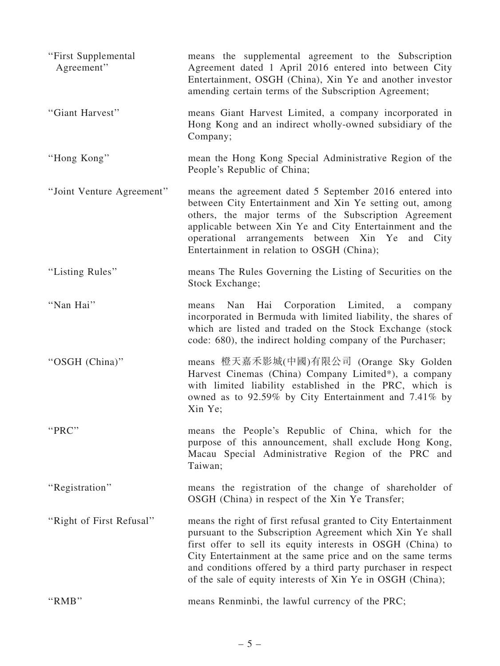| "First Supplemental<br>Agreement" | means the supplemental agreement to the Subscription<br>Agreement dated 1 April 2016 entered into between City<br>Entertainment, OSGH (China), Xin Ye and another investor<br>amending certain terms of the Subscription Agreement;                                                                                                                                                    |
|-----------------------------------|----------------------------------------------------------------------------------------------------------------------------------------------------------------------------------------------------------------------------------------------------------------------------------------------------------------------------------------------------------------------------------------|
| "Giant Harvest"                   | means Giant Harvest Limited, a company incorporated in<br>Hong Kong and an indirect wholly-owned subsidiary of the<br>Company;                                                                                                                                                                                                                                                         |
| "Hong Kong"                       | mean the Hong Kong Special Administrative Region of the<br>People's Republic of China;                                                                                                                                                                                                                                                                                                 |
| "Joint Venture Agreement"         | means the agreement dated 5 September 2016 entered into<br>between City Entertainment and Xin Ye setting out, among<br>others, the major terms of the Subscription Agreement<br>applicable between Xin Ye and City Entertainment and the<br>operational arrangements between Xin Ye and City<br>Entertainment in relation to OSGH (China);                                             |
| "Listing Rules"                   | means The Rules Governing the Listing of Securities on the<br>Stock Exchange;                                                                                                                                                                                                                                                                                                          |
| "Nan Hai"                         | Corporation Limited, a<br>Hai<br>Nan<br>means<br>company<br>incorporated in Bermuda with limited liability, the shares of<br>which are listed and traded on the Stock Exchange (stock<br>code: 680), the indirect holding company of the Purchaser;                                                                                                                                    |
| "OSGH (China)"                    | means 橙天嘉禾影城(中國)有限公司 (Orange Sky Golden<br>Harvest Cinemas (China) Company Limited*), a company<br>with limited liability established in the PRC, which is<br>owned as to 92.59% by City Entertainment and 7.41% by<br>Xin Ye;                                                                                                                                                         |
| "PRC"                             | means the People's Republic of China, which for the<br>purpose of this announcement, shall exclude Hong Kong,<br>Macau Special Administrative Region of the PRC and<br>Taiwan;                                                                                                                                                                                                         |
| "Registration"                    | means the registration of the change of shareholder of<br>OSGH (China) in respect of the Xin Ye Transfer;                                                                                                                                                                                                                                                                              |
| "Right of First Refusal"          | means the right of first refusal granted to City Entertainment<br>pursuant to the Subscription Agreement which Xin Ye shall<br>first offer to sell its equity interests in OSGH (China) to<br>City Entertainment at the same price and on the same terms<br>and conditions offered by a third party purchaser in respect<br>of the sale of equity interests of Xin Ye in OSGH (China); |
| "RMB"                             | means Renminbi, the lawful currency of the PRC;                                                                                                                                                                                                                                                                                                                                        |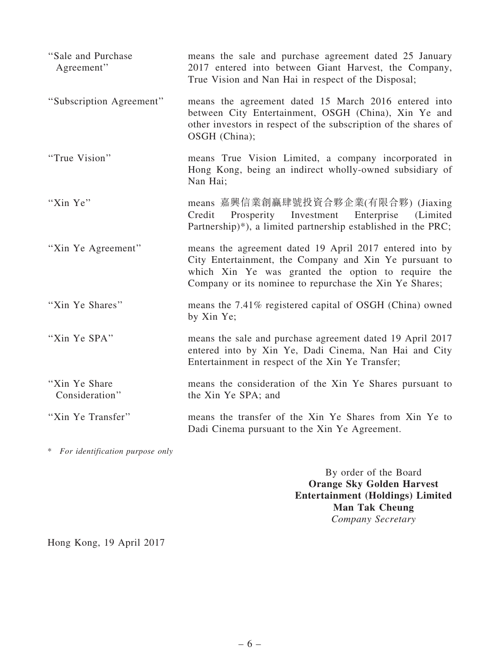| "Sale and Purchase"<br>Agreement" | means the sale and purchase agreement dated 25 January<br>2017 entered into between Giant Harvest, the Company,<br>True Vision and Nan Hai in respect of the Disposal;                                                             |
|-----------------------------------|------------------------------------------------------------------------------------------------------------------------------------------------------------------------------------------------------------------------------------|
| "Subscription Agreement"          | means the agreement dated 15 March 2016 entered into<br>between City Entertainment, OSGH (China), Xin Ye and<br>other investors in respect of the subscription of the shares of<br>OSGH (China);                                   |
| "True Vision"                     | means True Vision Limited, a company incorporated in<br>Hong Kong, being an indirect wholly-owned subsidiary of<br>Nan Hai;                                                                                                        |
| "Xin Ye"                          | means 嘉興信業創贏肆號投資合夥企業(有限合夥) (Jiaxing<br>Prosperity Investment Enterprise<br>(Limited)<br>Credit<br>Partnership)*), a limited partnership established in the PRC;                                                                    |
| "Xin Ye Agreement"                | means the agreement dated 19 April 2017 entered into by<br>City Entertainment, the Company and Xin Ye pursuant to<br>which Xin Ye was granted the option to require the<br>Company or its nominee to repurchase the Xin Ye Shares; |
| "Xin Ye Shares"                   | means the 7.41% registered capital of OSGH (China) owned<br>by Xin Ye;                                                                                                                                                             |
| "Xin Ye SPA"                      | means the sale and purchase agreement dated 19 April 2017<br>entered into by Xin Ye, Dadi Cinema, Nan Hai and City<br>Entertainment in respect of the Xin Ye Transfer;                                                             |
| "Xin Ye Share"<br>Consideration"  | means the consideration of the Xin Ye Shares pursuant to<br>the Xin Ye SPA; and                                                                                                                                                    |
| "Xin Ye Transfer"                 | means the transfer of the Xin Ye Shares from Xin Ye to<br>Dadi Cinema pursuant to the Xin Ye Agreement.                                                                                                                            |

\* *For identification purpose only*

By order of the Board Orange Sky Golden Harvest Entertainment (Holdings) Limited Man Tak Cheung *Company Secretary*

Hong Kong, 19 April 2017